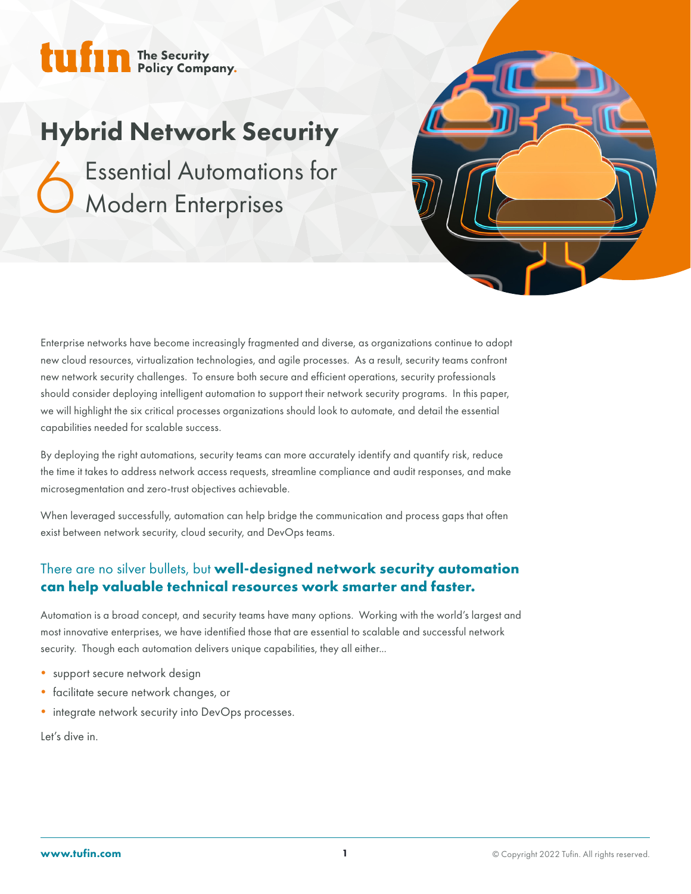

# Hybrid Network Security

Essential Automations for<br>6 Modern Enterprises Modern Enterprises



Enterprise networks have become increasingly fragmented and diverse, as organizations continue to adopt new cloud resources, virtualization technologies, and agile processes. As a result, security teams confront new network security challenges. To ensure both secure and efficient operations, security professionals should consider deploying intelligent automation to support their network security programs. In this paper, we will highlight the six critical processes organizations should look to automate, and detail the essential capabilities needed for scalable success.

By deploying the right automations, security teams can more accurately identify and quantify risk, reduce the time it takes to address network access requests, streamline compliance and audit responses, and make microsegmentation and zero-trust objectives achievable.

When leveraged successfully, automation can help bridge the communication and process gaps that often exist between network security, cloud security, and DevOps teams.

### There are no silver bullets, but **well-designed network security automation can help valuable technical resources work smarter and faster.**

Automation is a broad concept, and security teams have many options. Working with the world's largest and most innovative enterprises, we have identified those that are essential to scalable and successful network security. Though each automation delivers unique capabilities, they all either...

- support secure network design
- facilitate secure network changes, or
- integrate network security into DevOps processes.

Let's dive in.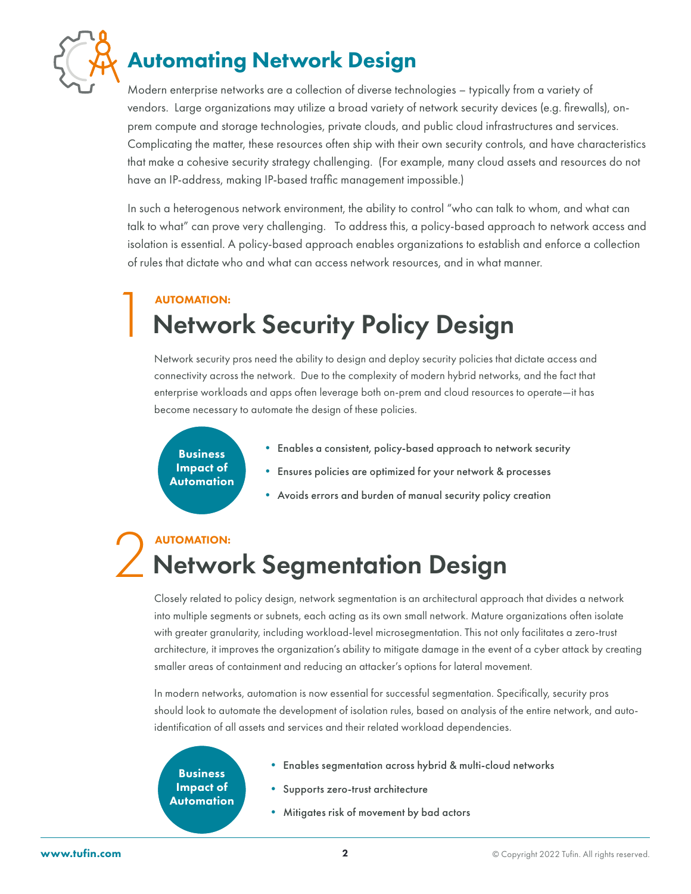

# Automating Network Design

Modern enterprise networks are a collection of diverse technologies – typically from a variety of vendors. Large organizations may utilize a broad variety of network security devices (e.g. firewalls), onprem compute and storage technologies, private clouds, and public cloud infrastructures and services. Complicating the matter, these resources often ship with their own security controls, and have characteristics that make a cohesive security strategy challenging. (For example, many cloud assets and resources do not have an IP-address, making IP-based traffic management impossible.)

In such a heterogenous network environment, the ability to control "who can talk to whom, and what can talk to what" can prove very challenging. To address this, a policy-based approach to network access and isolation is essential. A policy-based approach enables organizations to establish and enforce a collection of rules that dictate who and what can access network resources, and in what manner.

# **Network Security Policy Design** AUTOMATION:

Network security pros need the ability to design and deploy security policies that dictate access and connectivity across the network. Due to the complexity of modern hybrid networks, and the fact that enterprise workloads and apps often leverage both on-prem and cloud resources to operate—it has become necessary to automate the design of these policies.

Business Impact of Automation

- Enables a consistent, policy-based approach to network security
- Ensures policies are optimized for your network & processes
- Avoids errors and burden of manual security policy creation

## **Network Segmentation Design** AUTOMATION:

Closely related to policy design, network segmentation is an architectural approach that divides a network into multiple segments or subnets, each acting as its own small network. Mature organizations often isolate with greater granularity, including workload-level microsegmentation. This not only facilitates a zero-trust architecture, it improves the organization's ability to mitigate damage in the event of a cyber attack by creating smaller areas of containment and reducing an attacker's options for lateral movement.

In modern networks, automation is now essential for successful segmentation. Specifically, security pros should look to automate the development of isolation rules, based on analysis of the entire network, and autoidentification of all assets and services and their related workload dependencies.

## Business Impact of Automation

- Enables segmentation across hybrid & multi-cloud networks
- Supports zero-trust architecture
- Mitigates risk of movement by bad actors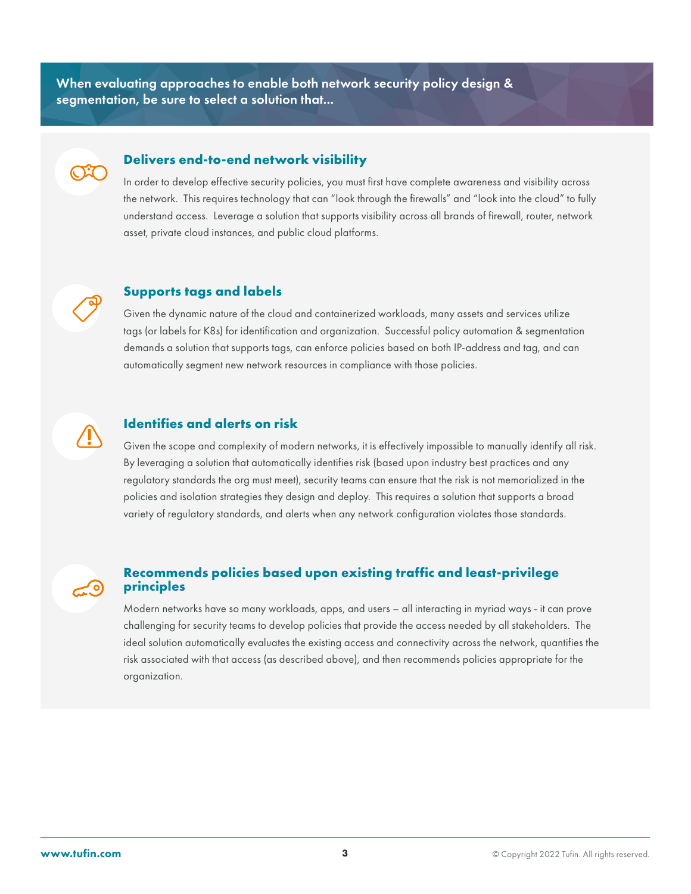When evaluating approaches to enable both network security policy design & segmentation, be sure to select a solution that...



### **Delivers end-to-end network visibility**

In order to develop effective security policies, you must first have complete awareness and visibility across the network. This requires technology that can "look through the firewalls" and "look into the cloud" to fully understand access. Leverage a solution that supports visibility across all brands of firewall, router, network asset, private cloud instances, and public cloud platforms.



### **Supports tags and labels**

Given the dynamic nature of the cloud and containerized workloads, many assets and services utilize tags (or labels for K8s) for identification and organization. Successful policy automation & segmentation demands a solution that supports tags, can enforce policies based on both IP-address and tag, and can automatically segment new network resources in compliance with those policies.



### **Identifies and alerts on risk**

Given the scope and complexity of modern networks, it is effectively impossible to manually identify all risk. By leveraging a solution that automatically identifies risk (based upon industry best practices and any regulatory standards the org must meet), security teams can ensure that the risk is not memorialized in the policies and isolation strategies they design and deploy. This requires a solution that supports a broad variety of regulatory standards, and alerts when any network configuration violates those standards.

### **Recommends policies based upon existing traffic and least-privilege principles**

Modern networks have so many workloads, apps, and users – all interacting in myriad ways - it can prove challenging for security teams to develop policies that provide the access needed by all stakeholders. The ideal solution automatically evaluates the existing access and connectivity across the network, quantifies the risk associated with that access (as described above), and then recommends policies appropriate for the organization.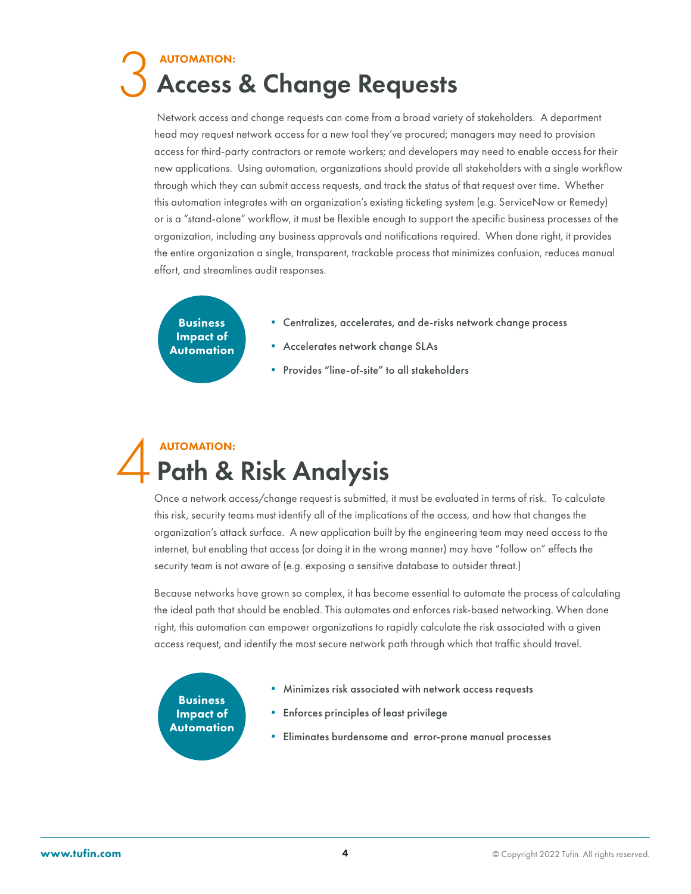# **Access & Change Requests** AUTOMATION:

Network access and change requests can come from a broad variety of stakeholders. A department head may request network access for a new tool they've procured; managers may need to provision access for third-party contractors or remote workers; and developers may need to enable access for their new applications. Using automation, organizations should provide all stakeholders with a single workflow through which they can submit access requests, and track the status of that request over time. Whether this automation integrates with an organization's existing ticketing system (e.g. ServiceNow or Remedy) or is a "stand-alone" workflow, it must be flexible enough to support the specific business processes of the organization, including any business approvals and notifications required. When done right, it provides the entire organization a single, transparent, trackable process that minimizes confusion, reduces manual effort, and streamlines audit responses.

Business Impact of Automation

- Centralizes, accelerates, and de-risks network change process
- Accelerates network change SLAs
- Provides "line-of-site" to all stakeholders

# Path & Risk Analysis AUTOMATION:

Once a network access/change request is submitted, it must be evaluated in terms of risk. To calculate this risk, security teams must identify all of the implications of the access, and how that changes the organization's attack surface. A new application built by the engineering team may need access to the internet, but enabling that access (or doing it in the wrong manner) may have "follow on" effects the security team is not aware of (e.g. exposing a sensitive database to outsider threat.)

Because networks have grown so complex, it has become essential to automate the process of calculating the ideal path that should be enabled. This automates and enforces risk-based networking. When done right, this automation can empower organizations to rapidly calculate the risk associated with a given access request, and identify the most secure network path through which that traffic should travel.

Business Impact of Automation

- Minimizes risk associated with network access requests
- **•** Enforces principles of least privilege
- Eliminates burdensome and error-prone manual processes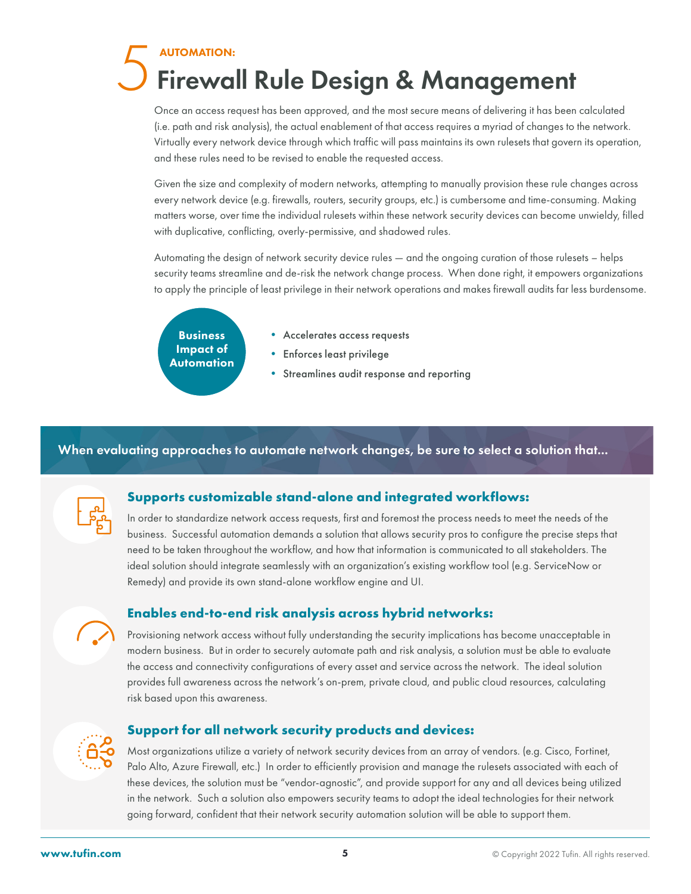# **Firewall Rule Design & Management** AUTOMATION:

Once an access request has been approved, and the most secure means of delivering it has been calculated (i.e. path and risk analysis), the actual enablement of that access requires a myriad of changes to the network. Virtually every network device through which traffic will pass maintains its own rulesets that govern its operation, and these rules need to be revised to enable the requested access.

Given the size and complexity of modern networks, attempting to manually provision these rule changes across every network device (e.g. firewalls, routers, security groups, etc.) is cumbersome and time-consuming. Making matters worse, over time the individual rulesets within these network security devices can become unwieldy, filled with duplicative, conflicting, overly-permissive, and shadowed rules.

Automating the design of network security device rules — and the ongoing curation of those rulesets – helps security teams streamline and de-risk the network change process. When done right, it empowers organizations to apply the principle of least privilege in their network operations and makes firewall audits far less burdensome.

**Business** Impact of Automation

- Accelerates access requests
- **•** Enforces least privilege
- Streamlines audit response and reporting

### When evaluating approaches to automate network changes, be sure to select a solution that...



### **Supports customizable stand-alone and integrated workflows:**

In order to standardize network access requests, first and foremost the process needs to meet the needs of the business. Successful automation demands a solution that allows security pros to configure the precise steps that need to be taken throughout the workflow, and how that information is communicated to all stakeholders. The ideal solution should integrate seamlessly with an organization's existing workflow tool (e.g. ServiceNow or Remedy) and provide its own stand-alone workflow engine and UI.

### **Enables end-to-end risk analysis across hybrid networks:**

Provisioning network access without fully understanding the security implications has become unacceptable in modern business. But in order to securely automate path and risk analysis, a solution must be able to evaluate the access and connectivity configurations of every asset and service across the network. The ideal solution provides full awareness across the network's on-prem, private cloud, and public cloud resources, calculating risk based upon this awareness.

### **Support for all network security products and devices:**

Most organizations utilize a variety of network security devices from an array of vendors. (e.g. Cisco, Fortinet, Palo Alto, Azure Firewall, etc.) In order to efficiently provision and manage the rulesets associated with each of these devices, the solution must be "vendor-agnostic", and provide support for any and all devices being utilized in the network. Such a solution also empowers security teams to adopt the ideal technologies for their network going forward, confident that their network security automation solution will be able to support them.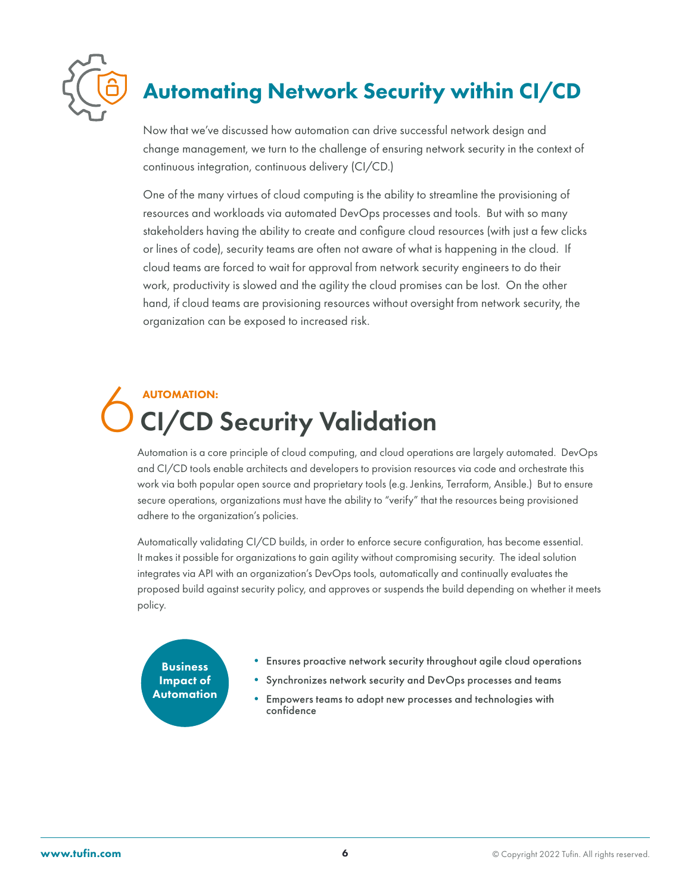

# Automating Network Security within CI/CD

Now that we've discussed how automation can drive successful network design and change management, we turn to the challenge of ensuring network security in the context of continuous integration, continuous delivery (CI/CD.)

One of the many virtues of cloud computing is the ability to streamline the provisioning of resources and workloads via automated DevOps processes and tools. But with so many stakeholders having the ability to create and configure cloud resources (with just a few clicks or lines of code), security teams are often not aware of what is happening in the cloud. If cloud teams are forced to wait for approval from network security engineers to do their work, productivity is slowed and the agility the cloud promises can be lost. On the other hand, if cloud teams are provisioning resources without oversight from network security, the organization can be exposed to increased risk.

# **CI/CD Security Validation** AUTOMATION:

Automation is a core principle of cloud computing, and cloud operations are largely automated. DevOps and CI/CD tools enable architects and developers to provision resources via code and orchestrate this work via both popular open source and proprietary tools (e.g. Jenkins, Terraform, Ansible.) But to ensure secure operations, organizations must have the ability to "verify" that the resources being provisioned adhere to the organization's policies.

Automatically validating CI/CD builds, in order to enforce secure configuration, has become essential. It makes it possible for organizations to gain agility without compromising security. The ideal solution integrates via API with an organization's DevOps tools, automatically and continually evaluates the proposed build against security policy, and approves or suspends the build depending on whether it meets policy.

Business Impact of Automation

- Ensures proactive network security throughout agile cloud operations
- Synchronizes network security and DevOps processes and teams
- Empowers teams to adopt new processes and technologies with confidence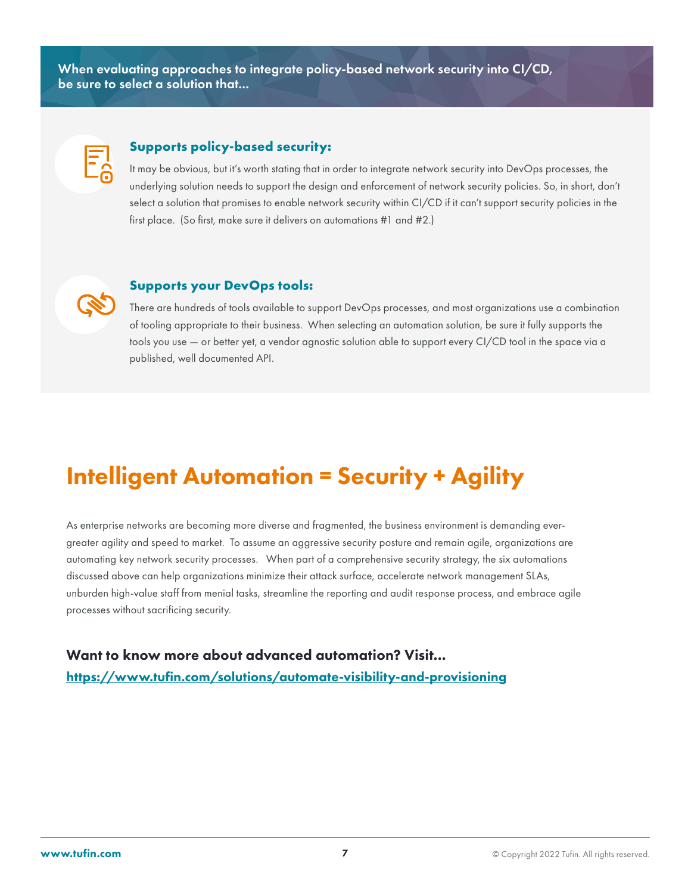When evaluating approaches to integrate policy-based network security into CI/CD, be sure to select a solution that...



### **Supports policy-based security:**

It may be obvious, but it's worth stating that in order to integrate network security into DevOps processes, the underlying solution needs to support the design and enforcement of network security policies. So, in short, don't select a solution that promises to enable network security within CI/CD if it can't support security policies in the first place. (So first, make sure it delivers on automations #1 and #2.)

### **Supports your DevOps tools:**

There are hundreds of tools available to support DevOps processes, and most organizations use a combination of tooling appropriate to their business. When selecting an automation solution, be sure it fully supports the tools you use — or better yet, a vendor agnostic solution able to support every CI/CD tool in the space via a published, well documented API.

# Intelligent Automation = Security + Agility

As enterprise networks are becoming more diverse and fragmented, the business environment is demanding evergreater agility and speed to market. To assume an aggressive security posture and remain agile, organizations are automating key network security processes. When part of a comprehensive security strategy, the six automations discussed above can help organizations minimize their attack surface, accelerate network management SLAs, unburden high-value staff from menial tasks, streamline the reporting and audit response process, and embrace agile processes without sacrificing security.

Want to know more about advanced automation? Visit... https://www.tufin.com/solutions/automate-visibility-and-provisioning